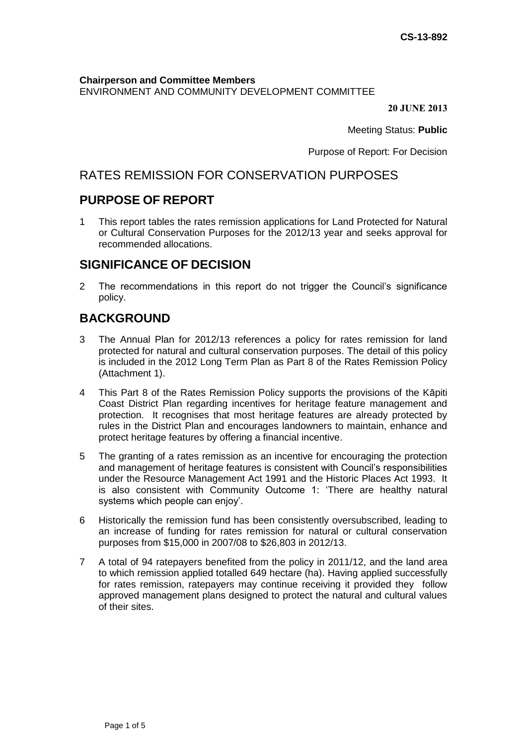**Chairperson and Committee Members** ENVIRONMENT AND COMMUNITY DEVELOPMENT COMMITTEE

**20 JUNE 2013**

Meeting Status: **Public**

Purpose of Report: For Decision

# RATES REMISSION FOR CONSERVATION PURPOSES

# **PURPOSE OF REPORT**

1 This report tables the rates remission applications for Land Protected for Natural or Cultural Conservation Purposes for the 2012/13 year and seeks approval for recommended allocations.

## **SIGNIFICANCE OF DECISION**

2 The recommendations in this report do not trigger the Council's significance policy.

# **BACKGROUND**

- 3 The Annual Plan for 2012/13 references a policy for rates remission for land protected for natural and cultural conservation purposes. The detail of this policy is included in the 2012 Long Term Plan as Part 8 of the Rates Remission Policy (Attachment 1).
- 4 This Part 8 of the Rates Remission Policy supports the provisions of the Kāpiti Coast District Plan regarding incentives for heritage feature management and protection. It recognises that most heritage features are already protected by rules in the District Plan and encourages landowners to maintain, enhance and protect heritage features by offering a financial incentive.
- 5 The granting of a rates remission as an incentive for encouraging the protection and management of heritage features is consistent with Council's responsibilities under the Resource Management Act 1991 and the Historic Places Act 1993. It is also consistent with Community Outcome 1: 'There are healthy natural systems which people can enjoy'.
- 6 Historically the remission fund has been consistently oversubscribed, leading to an increase of funding for rates remission for natural or cultural conservation purposes from \$15,000 in 2007/08 to \$26,803 in 2012/13.
- 7 A total of 94 ratepayers benefited from the policy in 2011/12, and the land area to which remission applied totalled 649 hectare (ha). Having applied successfully for rates remission, ratepayers may continue receiving it provided they follow approved management plans designed to protect the natural and cultural values of their sites.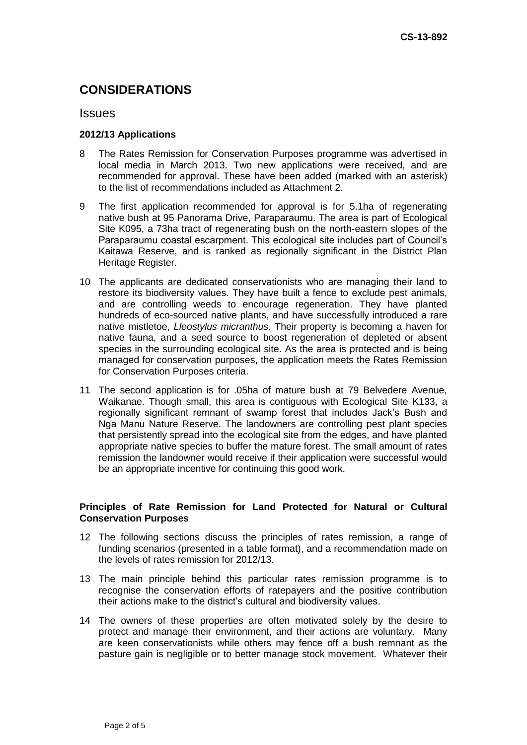# **CONSIDERATIONS**

#### **Issues**

#### **2012/13 Applications**

- 8 The Rates Remission for Conservation Purposes programme was advertised in local media in March 2013. Two new applications were received, and are recommended for approval. These have been added (marked with an asterisk) to the list of recommendations included as Attachment 2.
- 9 The first application recommended for approval is for 5.1ha of regenerating native bush at 95 Panorama Drive, Paraparaumu. The area is part of Ecological Site K095, a 73ha tract of regenerating bush on the north-eastern slopes of the Paraparaumu coastal escarpment. This ecological site includes part of Council's Kaitawa Reserve, and is ranked as regionally significant in the District Plan Heritage Register.
- 10 The applicants are dedicated conservationists who are managing their land to restore its biodiversity values. They have built a fence to exclude pest animals, and are controlling weeds to encourage regeneration. They have planted hundreds of eco-sourced native plants, and have successfully introduced a rare native mistletoe, *Lleostylus micranthus.* Their property is becoming a haven for native fauna, and a seed source to boost regeneration of depleted or absent species in the surrounding ecological site. As the area is protected and is being managed for conservation purposes, the application meets the Rates Remission for Conservation Purposes criteria.
- 11 The second application is for .05ha of mature bush at 79 Belvedere Avenue, Waikanae. Though small, this area is contiguous with Ecological Site K133, a regionally significant remnant of swamp forest that includes Jack's Bush and Nga Manu Nature Reserve. The landowners are controlling pest plant species that persistently spread into the ecological site from the edges, and have planted appropriate native species to buffer the mature forest. The small amount of rates remission the landowner would receive if their application were successful would be an appropriate incentive for continuing this good work.

#### **Principles of Rate Remission for Land Protected for Natural or Cultural Conservation Purposes**

- 12 The following sections discuss the principles of rates remission, a range of funding scenarios (presented in a table format), and a recommendation made on the levels of rates remission for 2012/13.
- 13 The main principle behind this particular rates remission programme is to recognise the conservation efforts of ratepayers and the positive contribution their actions make to the district's cultural and biodiversity values.
- 14 The owners of these properties are often motivated solely by the desire to protect and manage their environment, and their actions are voluntary. Many are keen conservationists while others may fence off a bush remnant as the pasture gain is negligible or to better manage stock movement. Whatever their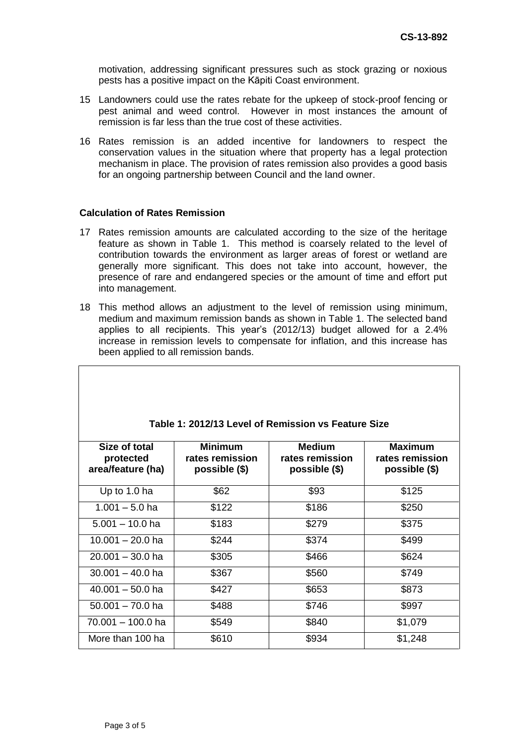motivation, addressing significant pressures such as stock grazing or noxious pests has a positive impact on the Kāpiti Coast environment.

- 15 Landowners could use the rates rebate for the upkeep of stock-proof fencing or pest animal and weed control. However in most instances the amount of remission is far less than the true cost of these activities.
- 16 Rates remission is an added incentive for landowners to respect the conservation values in the situation where that property has a legal protection mechanism in place. The provision of rates remission also provides a good basis for an ongoing partnership between Council and the land owner.

#### **Calculation of Rates Remission**

- 17 Rates remission amounts are calculated according to the size of the heritage feature as shown in Table 1. This method is coarsely related to the level of contribution towards the environment as larger areas of forest or wetland are generally more significant. This does not take into account, however, the presence of rare and endangered species or the amount of time and effort put into management.
- 18 This method allows an adjustment to the level of remission using minimum, medium and maximum remission bands as shown in Table 1. The selected band applies to all recipients. This year's (2012/13) budget allowed for a 2.4% increase in remission levels to compensate for inflation, and this increase has been applied to all remission bands.

| Table 1: 2012/13 Level of Remission vs Feature Size |                                                    |                                            |                                                    |
|-----------------------------------------------------|----------------------------------------------------|--------------------------------------------|----------------------------------------------------|
| Size of total<br>protected<br>area/feature (ha)     | <b>Minimum</b><br>rates remission<br>possible (\$) | Medium<br>rates remission<br>possible (\$) | <b>Maximum</b><br>rates remission<br>possible (\$) |
| Up to 1.0 ha                                        | \$62                                               | \$93                                       | \$125                                              |
| $1.001 - 5.0$ ha                                    | \$122                                              | \$186                                      | \$250                                              |
| $5.001 - 10.0$ ha                                   | \$183                                              | \$279                                      | \$375                                              |
| $10.001 - 20.0$ ha                                  | \$244                                              | \$374                                      | \$499                                              |
| $20.001 - 30.0$ ha                                  | \$305                                              | \$466                                      | \$624                                              |
| $30.001 - 40.0$ ha                                  | \$367                                              | \$560                                      | \$749                                              |
| $40.001 - 50.0$ ha                                  | \$427                                              | \$653                                      | \$873                                              |
| $50.001 - 70.0$ ha                                  | \$488                                              | \$746                                      | \$997                                              |
| 70.001 - 100.0 ha                                   | \$549                                              | \$840                                      | \$1,079                                            |
| More than 100 ha                                    | \$610                                              | \$934                                      | \$1,248                                            |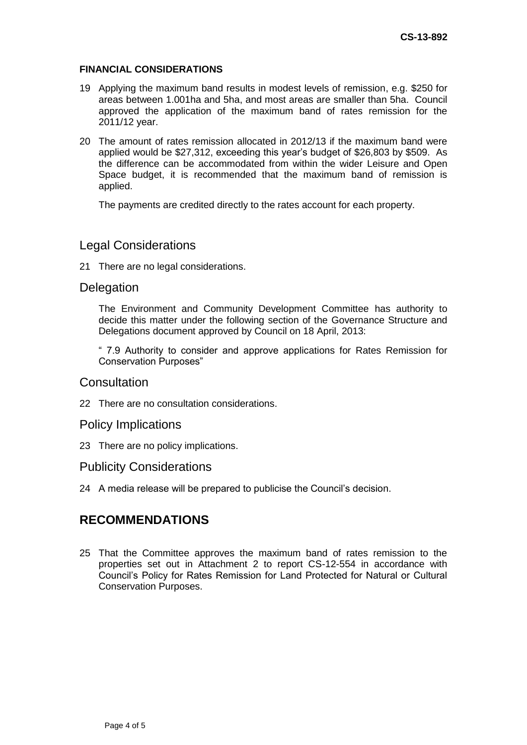#### **FINANCIAL CONSIDERATIONS**

- 19 Applying the maximum band results in modest levels of remission, e.g. \$250 for areas between 1.001ha and 5ha, and most areas are smaller than 5ha. Council approved the application of the maximum band of rates remission for the 2011/12 year.
- 20 The amount of rates remission allocated in 2012/13 if the maximum band were applied would be \$27,312, exceeding this year's budget of \$26,803 by \$509. As the difference can be accommodated from within the wider Leisure and Open Space budget, it is recommended that the maximum band of remission is applied.

The payments are credited directly to the rates account for each property.

## Legal Considerations

21 There are no legal considerations.

## **Delegation**

The Environment and Community Development Committee has authority to decide this matter under the following section of the Governance Structure and Delegations document approved by Council on 18 April, 2013:

" 7.9 Authority to consider and approve applications for Rates Remission for Conservation Purposes"

### **Consultation**

22 There are no consultation considerations.

## Policy Implications

23 There are no policy implications.

#### Publicity Considerations

24 A media release will be prepared to publicise the Council's decision.

## **RECOMMENDATIONS**

25 That the Committee approves the maximum band of rates remission to the properties set out in Attachment 2 to report CS-12-554 in accordance with Council's Policy for Rates Remission for Land Protected for Natural or Cultural Conservation Purposes.